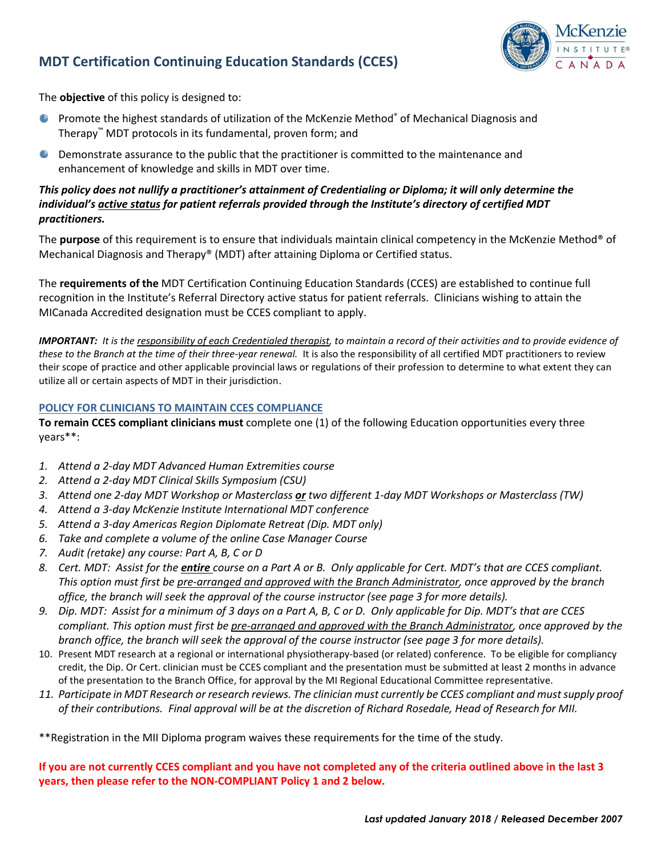# MDT Certification Continuing Education Standards (CCES)



The **objective** of this policy is designed to:

- Promote the highest standards of utilization of the McKenzie Method® of Mechanical Diagnosis and Therapy™ MDT protocols in its fundamental, proven form; and
- Demonstrate assurance to the public that the practitioner is committed to the maintenance and enhancement of knowledge and skills in MDT over time.

# *This policy does not nullify a practitioner's attainment of Credentialing or Diploma; it will only determine the individual's active status for patient referrals provided through the Institute's directory of certified MDT practitioners.*

The **purpose** of this requirement is to ensure that individuals maintain clinical competency in the McKenzie Method<sup>®</sup> of Mechanical Diagnosis and Therapy® (MDT) after attaining Diploma or Certified status.

The requirements of the MDT Certification Continuing Education Standards (CCES) are established to continue full recognition in the Institute's Referral Directory active status for patient referrals. Clinicians wishing to attain the MICanada Accredited designation must be CCES compliant to apply.

*IMPORTANT: It is the responsibility of each Credentialed therapist, to maintain a record of their activities and to provide evidence of these to the Branch at the time of their three-year renewal.* It is also the responsibility of all certified MDT practitioners to review their scope of practice and other applicable provincial laws or regulations of their profession to determine to what extent they can utilize all or certain aspects of MDT in their jurisdiction.

### POLICY FOR CLINICIANS TO MAINTAIN CCES COMPLIANCE

To remain CCES compliant clinicians must complete one (1) of the following Education opportunities every three years\*\*:

- *1. Attend a 2-day MDT Advanced Human Extremities course*
- *2. Attend a 2-day MDT Clinical Skills Symposium (CSU)*
- *3. Attend one 2-day MDT Workshop or Masterclass or two different 1-day MDT Workshops or Masterclass (TW)*
- *4. Attend a 3-day McKenzie Institute International MDT conference*
- *5. Attend a 3-day Americas Region Diplomate Retreat (Dip. MDT only)*
- *6. Take and complete a volume of the online Case Manager Course*
- *7. Audit (retake) any course: Part A, B, C or D*
- *8. Cert. MDT: Assist for the entire course on a Part A or B. Only applicable for Cert. MDT's that are CCES compliant. This option must first be pre-arranged and approved with the Branch Administrator, once approved by the branch office, the branch will seek the approval of the course instructor (see page 3 for more details).*
- *9. Dip. MDT: Assist for a minimum of 3 days on a Part A, B, C or D. Only applicable for Dip. MDT's that are CCES compliant. This option must first be pre-arranged and approved with the Branch Administrator, once approved by the branch office, the branch will seek the approval of the course instructor (see page 3 for more details).*
- 10. Present MDT research at a regional or international physiotherapy-based (or related) conference. To be eligible for compliancy credit, the Dip. Or Cert. clinician must be CCES compliant and the presentation must be submitted at least 2 months in advance of the presentation to the Branch Office, for approval by the MI Regional Educational Committee representative.
- *11. Participate in MDT Research or research reviews. The clinician must currently be CCES compliant and must supply proof of their contributions. Final approval will be at the discretion of Richard Rosedale, Head of Research for MII.*
- \*\*Registration in the MII Diploma program waives these requirements for the time of the study.

If you are not currently CCES compliant and you have not completed any of the criteria outlined above in the last 3 years, then please refer to the NON-COMPLIANT Policy 1 and 2 below.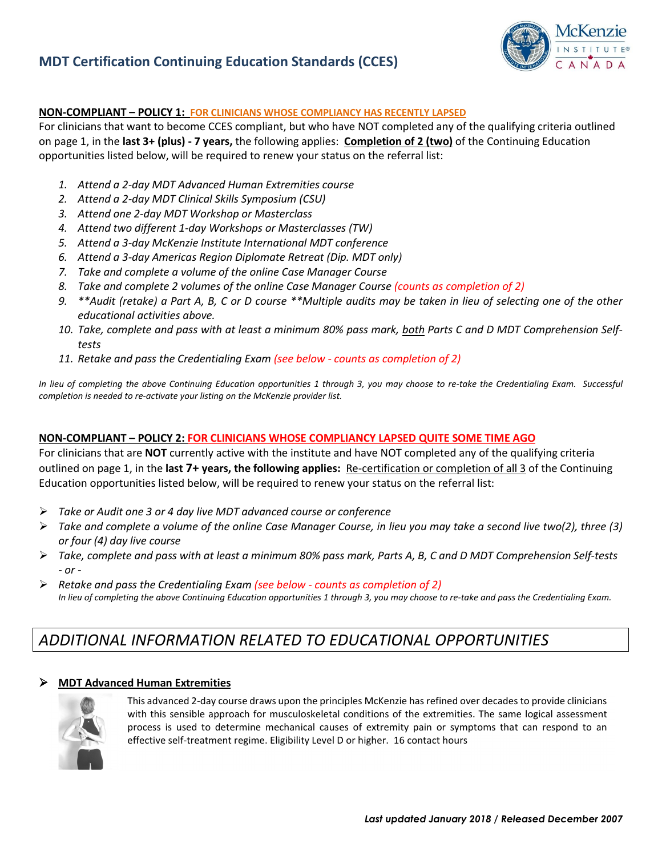# MDT Certification Continuing Education Standards (CCES)



### NON-COMPLIANT – POLICY 1: FOR CLINICIANS WHOSE COMPLIANCY HAS RECENTLY LAPSED

For clinicians that want to become CCES compliant, but who have NOT completed any of the qualifying criteria outlined on page 1, in the last 3+ (plus) - 7 years, the following applies: Completion of 2 (two) of the Continuing Education opportunities listed below, will be required to renew your status on the referral list:

- *1. Attend a 2-day MDT Advanced Human Extremities course*
- *2. Attend a 2-day MDT Clinical Skills Symposium (CSU)*
- *3. Attend one 2-day MDT Workshop or Masterclass*
- *4. Attend two different 1-day Workshops or Masterclasses (TW)*
- *5. Attend a 3-day McKenzie Institute International MDT conference*
- *6. Attend a 3-day Americas Region Diplomate Retreat (Dip. MDT only)*
- *7. Take and complete a volume of the online Case Manager Course*
- *8. Take and complete 2 volumes of the online Case Manager Course (counts as completion of 2)*
- *9. \*\*Audit (retake) a Part A, B, C or D course \*\*Multiple audits may be taken in lieu of selecting one of the other educational activities above.*
- *10. Take, complete and pass with at least a minimum 80% pass mark, both Parts C and D MDT Comprehension Selftests*
- *11. Retake and pass the Credentialing Exam (see below - counts as completion of 2)*

*In lieu of completing the above Continuing Education opportunities 1 through 3, you may choose to re-take the Credentialing Exam. Successful completion is needed to re-activate your listing on the McKenzie provider list.*

### NON-COMPLIANT – POLICY 2: FOR CLINICIANS WHOSE COMPLIANCY LAPSED QUITE SOME TIME AGO

For clinicians that are NOT currently active with the institute and have NOT completed any of the qualifying criteria outlined on page 1, in the last 7+ years, the following applies: Re-certification or completion of all 3 of the Continuing Education opportunities listed below, will be required to renew your status on the referral list:

- *Take or Audit one 3 or 4 day live MDT advanced course or conference*
- *Take and complete a volume of the online Case Manager Course, in lieu you may take a second live two(2), three (3) or four (4) day live course*
- *Take, complete and pass with at least a minimum 80% pass mark, Parts A, B, C and D MDT Comprehension Self-tests - or -*
- *Retake and pass the Credentialing Exam (see below - counts as completion of 2) In lieu of completing the above Continuing Education opportunities 1 through 3, you may choose to re-take and pass the Credentialing Exam.*

# *ADDITIONAL INFORMATION RELATED TO EDUCATIONAL OPPORTUNITIES*

### MDT Advanced Human Extremities



This advanced 2-day course draws upon the principles McKenzie has refined over decades to provide clinicians with this sensible approach for musculoskeletal conditions of the extremities. The same logical assessment process is used to determine mechanical causes of extremity pain or symptoms that can respond to an effective self-treatment regime. Eligibility Level D or higher. 16 contact hours